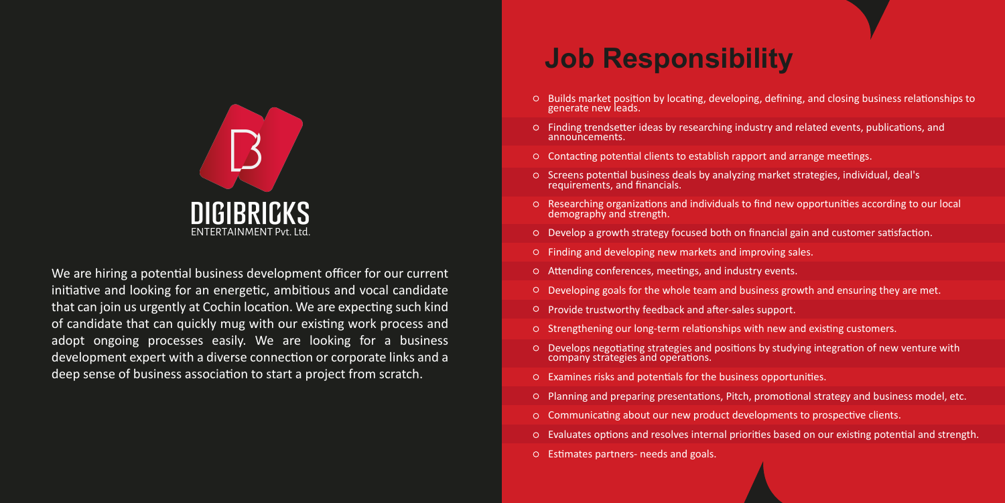

We are hiring a potential business development officer for our current initiative and looking for an energetic, ambitious and vocal candidate that can join us urgently at Cochin location. We are expecting such kind of candidate that can quickly mug with our existing work process and adopt ongoing processes easily. We are looking for a business development expert with a diverse connection or corporate links and a deep sense of business association to start a project from scratch.

## **Job Responsibility**

- $\circ$  Builds market position by locating, developing, defining, and closing business relationships to generate new leads.
- $\circ$  Finding trendsetter ideas by researching industry and related events, publications, and announcements.
- O Contacting potential clients to establish rapport and arrange meetings.
- O Screens potential business deals by analyzing market strategies, individual, deal's requirements, and financials.
- Researching organiza�ons and individuals to find new opportuni�es according to our local demography and strength.
- O Develop a growth strategy focused both on financial gain and customer satisfaction.
- Finding and developing new markets and improving sales.
- $\circ$  Attending conferences, meetings, and industry events.
- Developing goals for the whole team and business growth and ensuring they are met.
- Provide trustworthy feedback and a�er-sales support.
- O Strengthening our long-term relationships with new and existing customers.
- O Develops negotiating strategies and positions by studying integration of new venture with company strategies and operations.
- $O$  Examines risks and potentials for the business opportunities.
- Planning and preparing presenta�ons, Pitch, promo�onal strategy and business model, etc.
- $O$  Communicating about our new product developments to prospective clients.
- $\circ$  Evaluates options and resolves internal priorities based on our existing potential and strength.
- O Estimates partners- needs and goals.